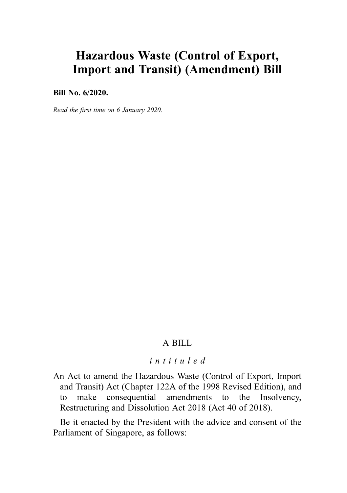# Hazardous Waste (Control of Export, Import and Transit) (Amendment) Bill

Bill No. 6/2020.

Read the first time on 6 January 2020.

#### A BILL

## intituled

An Act to amend the Hazardous Waste (Control of Export, Import and Transit) Act (Chapter 122A of the 1998 Revised Edition), and to make consequential amendments to the Insolvency, Restructuring and Dissolution Act 2018 (Act 40 of 2018).

Be it enacted by the President with the advice and consent of the Parliament of Singapore, as follows: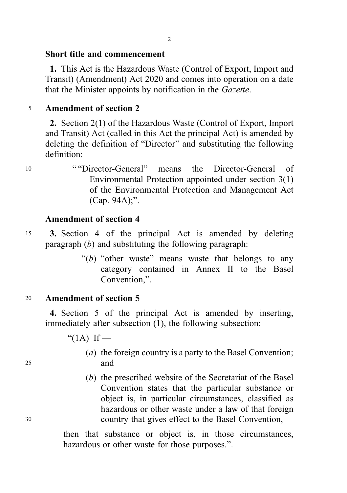# Short title and commencement

1. This Act is the Hazardous Waste (Control of Export, Import and Transit) (Amendment) Act 2020 and comes into operation on a date that the Minister appoints by notification in the Gazette.

# <sup>5</sup> Amendment of section 2

2. Section 2(1) of the Hazardous Waste (Control of Export, Import and Transit) Act (called in this Act the principal Act) is amended by deleting the definition of "Director" and substituting the following definition:

<sup>10</sup> " "Director-General" means the Director-General of Environmental Protection appointed under section 3(1) of the Environmental Protection and Management Act (Cap. 94A);".

## Amendment of section 4

- <sup>15</sup> 3. Section 4 of the principal Act is amended by deleting paragraph  $(b)$  and substituting the following paragraph:
	- " $(b)$  "other waste" means waste that belongs to any category contained in Annex II to the Basel Convention,".

# <sup>20</sup> Amendment of section 5

4. Section 5 of the principal Act is amended by inserting, immediately after subsection (1), the following subsection:

" $(1A)$  If —

- (a) the foreign country is a party to the Basel Convention; <sup>25</sup> and
- (b) the prescribed website of the Secretariat of the Basel Convention states that the particular substance or object is, in particular circumstances, classified as hazardous or other waste under a law of that foreign <sup>30</sup> country that gives effect to the Basel Convention,

then that substance or object is, in those circumstances, hazardous or other waste for those purposes.".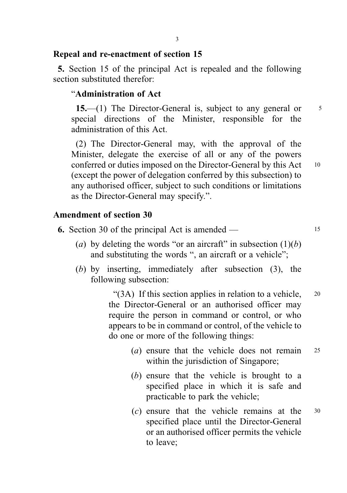#### Repeal and re-enactment of section 15

5. Section 15 of the principal Act is repealed and the following section substituted therefor<sup>.</sup>

#### "Administration of Act

15.—(1) The Director-General is, subject to any general or  $\frac{5}{5}$ special directions of the Minister, responsible for the administration of this Act.

(2) The Director-General may, with the approval of the Minister, delegate the exercise of all or any of the powers conferred or duties imposed on the Director-General by this Act 10 (except the power of delegation conferred by this subsection) to any authorised officer, subject to such conditions or limitations as the Director-General may specify.".

#### Amendment of section 30

6. Section 30 of the principal Act is amended — <sup>15</sup>

- (a) by deleting the words "or an aircraft" in subsection  $(1)(b)$ and substituting the words ", an aircraft or a vehicle";
- (b) by inserting, immediately after subsection (3), the following subsection:

"(3A) If this section applies in relation to a vehicle, 20 the Director-General or an authorised officer may require the person in command or control, or who appears to be in command or control, of the vehicle to do one or more of the following things:

- (a) ensure that the vehicle does not remain <sup>25</sup> within the jurisdiction of Singapore;
- (b) ensure that the vehicle is brought to a specified place in which it is safe and practicable to park the vehicle;
- $(c)$  ensure that the vehicle remains at the  $30$ specified place until the Director-General or an authorised officer permits the vehicle to leave;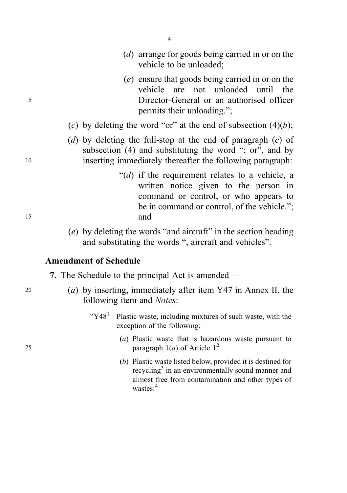- 4
- (d) arrange for goods being carried in or on the vehicle to be unloaded;
- (e) ensure that goods being carried in or on the vehicle are not unloaded until the <sup>5</sup> Director-General or an authorised officer permits their unloading.";
	- (c) by deleting the word "or" at the end of subsection  $(4)(b)$ ;
- (d) by deleting the full-stop at the end of paragraph  $(c)$  of subsection (4) and substituting the word "; or", and by <sup>10</sup> inserting immediately thereafter the following paragraph:
- " $(d)$  if the requirement relates to a vehicle, a written notice given to the person in command or control, or who appears to be in command or control, of the vehicle."; <sup>15</sup> and
	- (e) by deleting the words "and aircraft" in the section heading and substituting the words ", aircraft and vehicles".

## Amendment of Schedule

7. The Schedule to the principal Act is amended —

- <sup>20</sup> (a) by inserting, immediately after item Y47 in Annex II, the following item and Notes:
	- " $Y48<sup>1</sup>$  Plastic waste, including mixtures of such waste, with the exception of the following:
- (a) Plastic waste that is hazardous waste pursuant to 25 paragraph  $1(a)$  of Article  $1^2$ 
	- (b) Plastic waste listed below, provided it is destined for recycling<sup>3</sup> in an environmentally sound manner and almost free from contamination and other types of wastes:<sup>4</sup>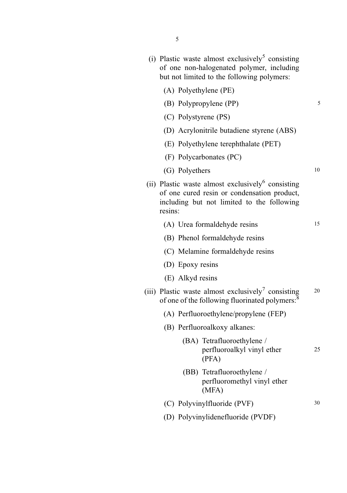- (i) Plastic waste almost exclusively<sup>5</sup> consisting of one non-halogenated polymer, including but not limited to the following polymers:
	- (A) Polyethylene (PE)
	- (B) Polypropylene (PP) 5
	- (C) Polystyrene (PS)
	- (D) Acrylonitrile butadiene styrene (ABS)
	- (E) Polyethylene terephthalate (PET)
	- (F) Polycarbonates (PC)
	- (G) Polyethers 10
- (ii) Plastic waste almost exclusively $6$  consisting of one cured resin or condensation product, including but not limited to the following resins:
	- (A) Urea formaldehyde resins 15
	- (B) Phenol formaldehyde resins
	- (C) Melamine formaldehyde resins
	- (D) Epoxy resins
	- (E) Alkyd resins
- (iii) Plastic waste almost exclusively<sup>7</sup> consisting  $20$ of one of the following fluorinated polymers:<sup>8</sup>
	- (A) Perfluoroethylene/propylene (FEP)
	- (B) Perfluoroalkoxy alkanes:
		- (BA) Tetrafluoroethylene / perfluoroalkyl vinyl ether 25 (PFA)
		- (BB) Tetrafluoroethylene / perfluoromethyl vinyl ether (MFA)
	- (C) Polyvinylfluoride (PVF) 30
	- (D) Polyvinylidenefluoride (PVDF)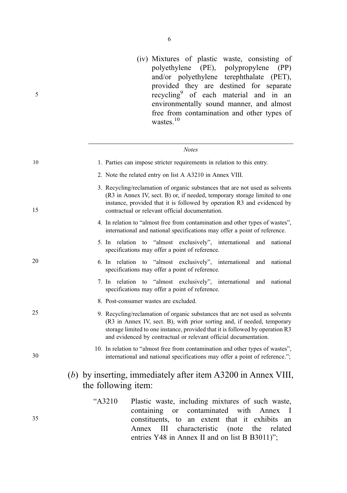(iv) Mixtures of plastic waste, consisting of polyethylene (PE), polypropylene (PP) and/or polyethylene terephthalate (PET), provided they are destined for separate recycling<sup>9</sup> of each material and in an environmentally sound manner, and almost free from contamination and other types of wastes.<sup>10</sup>

|    | <b>Notes</b>                                                                                                                                                                                                                                                                                                 |
|----|--------------------------------------------------------------------------------------------------------------------------------------------------------------------------------------------------------------------------------------------------------------------------------------------------------------|
| 10 | 1. Parties can impose stricter requirements in relation to this entry.                                                                                                                                                                                                                                       |
|    | 2. Note the related entry on list A A3210 in Annex VIII.                                                                                                                                                                                                                                                     |
| 15 | 3. Recycling/reclamation of organic substances that are not used as solvents<br>(R3 in Annex IV, sect. B) or, if needed, temporary storage limited to one<br>instance, provided that it is followed by operation R3 and evidenced by<br>contractual or relevant official documentation.                      |
|    | 4. In relation to "almost free from contamination and other types of wastes",<br>international and national specifications may offer a point of reference.                                                                                                                                                   |
|    | 5. In relation to "almost exclusively", international and national<br>specifications may offer a point of reference.                                                                                                                                                                                         |
| 20 | 6. In relation to "almost exclusively", international<br>and national<br>specifications may offer a point of reference.                                                                                                                                                                                      |
|    | 7. In relation to "almost exclusively", international<br>and national<br>specifications may offer a point of reference.                                                                                                                                                                                      |
|    | 8. Post-consumer wastes are excluded.                                                                                                                                                                                                                                                                        |
| 25 | 9. Recycling/reclamation of organic substances that are not used as solvents<br>(R3 in Annex IV, sect. B), with prior sorting and, if needed, temporary<br>storage limited to one instance, provided that it is followed by operation R3<br>and evidenced by contractual or relevant official documentation. |
| 30 | 10. In relation to "almost free from contamination and other types of wastes",<br>international and national specifications may offer a point of reference.";                                                                                                                                                |
|    | (b) by inserting, immediately after item $A3200$ in Annex VIII,<br>the following item:                                                                                                                                                                                                                       |
| 35 | "A3210<br>Plastic waste, including mixtures of such waste,<br>contaminated with<br>containing<br><b>or</b><br>Annex<br>$\mathbf{I}$<br>constituents, to an extent that it exhibits<br>an<br>Ш<br>characteristic<br>the<br>related<br>Annex<br>(note                                                          |

entries Y48 in Annex II and on list B B3011)";

5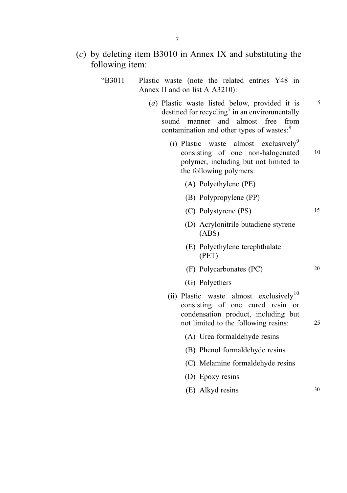# (c) by deleting item B3010 in Annex IX and substituting the following item:

- . "B3011 Plastic waste (note the related entries Y48 in Annex II and on list A A3210):
	- (a) Plastic waste listed below, provided it is  $5<sup>5</sup>$ destined for recycling<sup>7</sup> in an environmentally sound manner and almost free from contamination and other types of wastes:<sup>8</sup>
		- (i) Plastic waste almost exclusively<sup>9</sup> consisting of one non-halogenated 10 polymer, including but not limited to the following polymers:
			- (A) Polyethylene (PE)
			- (B) Polypropylene (PP)
			- (C) Polystyrene (PS) 15
			- (D) Acrylonitrile butadiene styrene (ABS)
			- (E) Polyethylene terephthalate (PET)
			- (F) Polycarbonates (PC) 20
			- (G) Polyethers
		- (ii) Plastic waste almost exclusively<sup>10</sup> consisting of one cured resin or condensation product, including but not limited to the following resins: 25
			- (A) Urea formaldehyde resins
			- (B) Phenol formaldehyde resins
			- (C) Melamine formaldehyde resins
			- (D) Epoxy resins
			- (E) Alkyd resins 30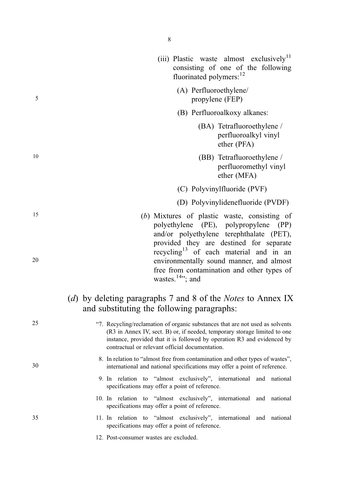5

10

15

- 
- 

20

30

35

25

. "7. Recycling/reclamation of organic substances that are not used as solvents (R3 in Annex IV, sect. B) or, if needed, temporary storage limited to one instance, provided that it is followed by operation R3 and evidenced by contractual or relevant official documentation.

(d) by deleting paragraphs 7 and 8 of the *Notes* to Annex IX

and substituting the following paragraphs:

- 8. In relation to "almost free from contamination and other types of wastes", international and national specifications may offer a point of reference.
- 9. In relation to "almost exclusively", international and national specifications may offer a point of reference.
- 10. In relation to "almost exclusively", international and national specifications may offer a point of reference.
- 11. In relation to "almost exclusively", international and national specifications may offer a point of reference.
	- 12. Post-consumer wastes are excluded.

8

- (iii) Plastic waste almost exclusively<sup>11</sup> consisting of one of the following fluorinated polymers: $12$ 
	- (A) Perfluoroethylene/ propylene (FEP)
	- (B) Perfluoroalkoxy alkanes:
		- (BA) Tetrafluoroethylene / perfluoroalkyl vinyl ether (PFA)
		- (BB) Tetrafluoroethylene / perfluoromethyl vinyl ether (MFA)
	- (C) Polyvinylfluoride (PVF)
	- (D) Polyvinylidenefluoride (PVDF)
- (b) Mixtures of plastic waste, consisting of polyethylene (PE), polypropylene (PP) and/or polyethylene terephthalate (PET), provided they are destined for separate recycling<sup>13</sup> of each material and in an environmentally sound manner, and almost free from contamination and other types of wastes. $14$ "; and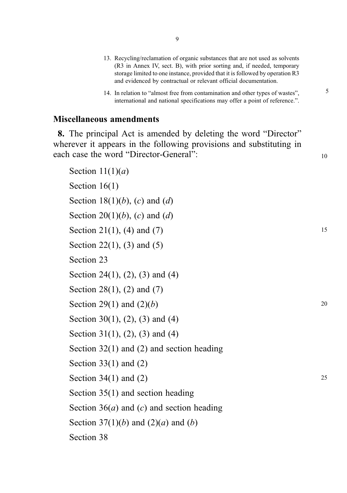- 13. Recycling/reclamation of organic substances that are not used as solvents (R3 in Annex IV, sect. B), with prior sorting and, if needed, temporary storage limited to one instance, provided that it is followed by operation R3 and evidenced by contractual or relevant official documentation.
- 14. In relation to "almost free from contamination and other types of wastes", international and national specifications may offer a point of reference.".

5

10

#### Miscellaneous amendments

8. The principal Act is amended by deleting the word "Director" wherever it appears in the following provisions and substituting in each case the word "Director-General":

```
Section 11(1)(a)Section 16(1)
Section 18(1)(b), (c) and (d)
Section 20(1)(b), (c) and (d)
Section 21(1), (4) and (7)
Section 22(1), (3) and (5)
Section 23
Section 24(1), (2), (3) and (4)
Section 28(1), (2) and (7)
Section 29(1) and (2)(b)Section 30(1), (2), (3) and (4)
Section 31(1), (2), (3) and (4)
Section 32(1) and (2) and section heading
Section 33(1) and (2)Section 34(1) and (2)
Section 35(1) and section heading
Section 36(a) and (c) and section heading
Section 37(1)(b) and (2)(a) and (b)
Section 38
                                                                      15
                                                                      20
                                                                      25
```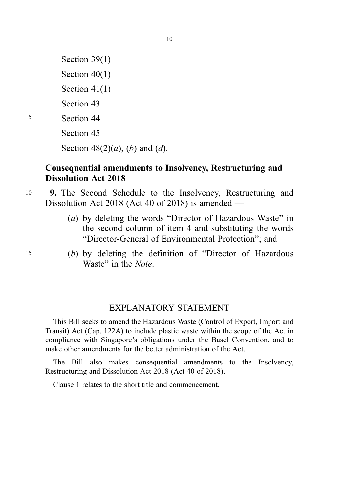Section 39(1) Section 40(1) Section 41(1) Section 43 <sup>5</sup> Section 44 Section 45 Section  $48(2)(a)$ , (b) and (d).

# Consequential amendments to Insolvency, Restructuring and Dissolution Act 2018

- <sup>10</sup> 9. The Second Schedule to the Insolvency, Restructuring and Dissolution Act 2018 (Act 40 of 2018) is amended —
	- (a) by deleting the words "Director of Hazardous Waste" in the second column of item 4 and substituting the words "Director-General of Environmental Protection"; and
- <sup>15</sup> (b) by deleting the definition of "Director of Hazardous Waste" in the Note.

# EXPLANATORY STATEMENT

This Bill seeks to amend the Hazardous Waste (Control of Export, Import and Transit) Act (Cap. 122A) to include plastic waste within the scope of the Act in compliance with Singapore's obligations under the Basel Convention, and to make other amendments for the better administration of the Act.

The Bill also makes consequential amendments to the Insolvency, Restructuring and Dissolution Act 2018 (Act 40 of 2018).

Clause 1 relates to the short title and commencement.